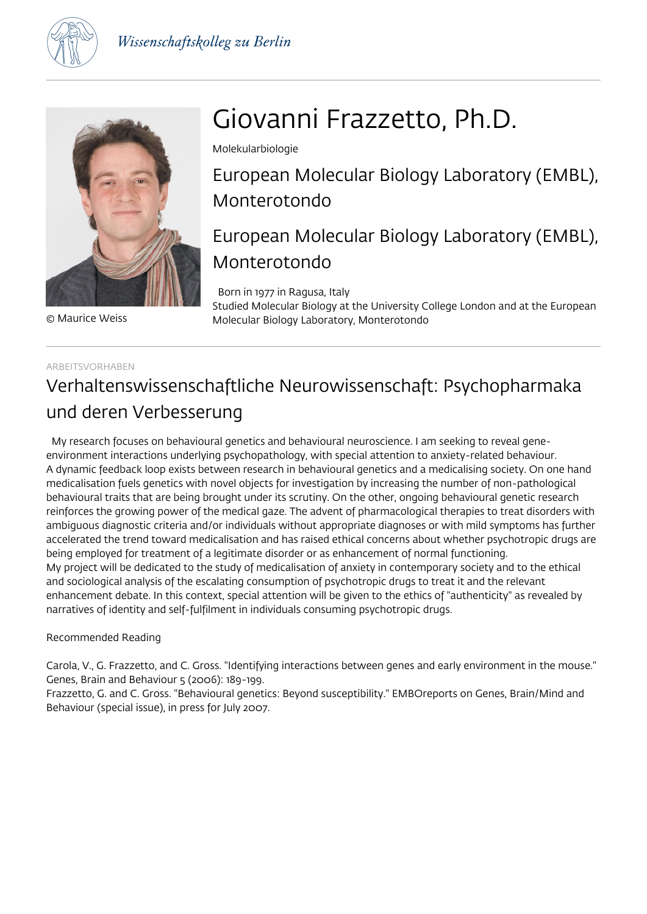



© Maurice Weiss

# Giovanni Frazzetto, Ph.D.

Molekularbiologie

European Molecular Biology Laboratory (EMBL), Monterotondo

# European Molecular Biology Laboratory (EMBL), Monterotondo

 Born in 1977 in Ragusa, Italy Studied Molecular Biology at the University College London and at the European Molecular Biology Laboratory, Monterotondo

## ARBEITSVORHABEN

# Verhaltenswissenschaftliche Neurowissenschaft: Psychopharmaka und deren Verbesserung

 My research focuses on behavioural genetics and behavioural neuroscience. I am seeking to reveal geneenvironment interactions underlying psychopathology, with special attention to anxiety-related behaviour. A dynamic feedback loop exists between research in behavioural genetics and a medicalising society. On one hand medicalisation fuels genetics with novel objects for investigation by increasing the number of non-pathological behavioural traits that are being brought under its scrutiny. On the other, ongoing behavioural genetic research reinforces the growing power of the medical gaze. The advent of pharmacological therapies to treat disorders with ambiguous diagnostic criteria and/or individuals without appropriate diagnoses or with mild symptoms has further accelerated the trend toward medicalisation and has raised ethical concerns about whether psychotropic drugs are being employed for treatment of a legitimate disorder or as enhancement of normal functioning. My project will be dedicated to the study of medicalisation of anxiety in contemporary society and to the ethical and sociological analysis of the escalating consumption of psychotropic drugs to treat it and the relevant enhancement debate. In this context, special attention will be given to the ethics of "authenticity" as revealed by narratives of identity and self-fulfilment in individuals consuming psychotropic drugs.

# Recommended Reading

Carola, V., G. Frazzetto, and C. Gross. "Identifying interactions between genes and early environment in the mouse." Genes, Brain and Behaviour 5 (2006): 189-199.

Frazzetto, G. and C. Gross. "Behavioural genetics: Beyond susceptibility." EMBOreports on Genes, Brain/Mind and Behaviour (special issue), in press for July 2007.